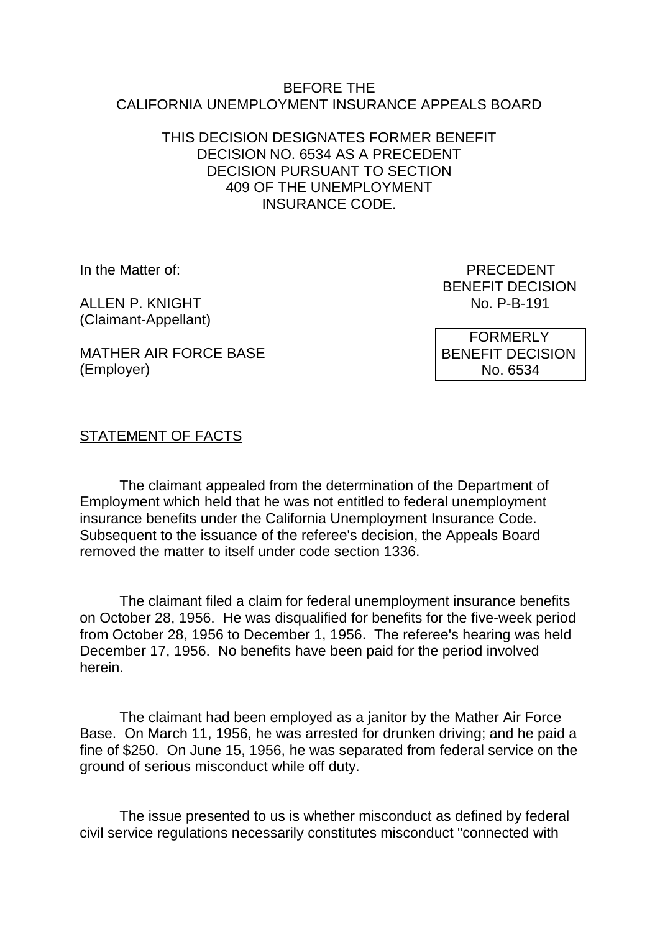#### BEFORE THE CALIFORNIA UNEMPLOYMENT INSURANCE APPEALS BOARD

### THIS DECISION DESIGNATES FORMER BENEFIT DECISION NO. 6534 AS A PRECEDENT DECISION PURSUANT TO SECTION 409 OF THE UNEMPLOYMENT INSURANCE CODE.

ALLEN P. KNIGHT (Claimant-Appellant)

In the Matter of: PRECEDENT BENEFIT DECISION<br>No. P-B-191

MATHER AIR FORCE BASE (Employer)

 FORMERLY BENEFIT DECISION No. 6534

# STATEMENT OF FACTS

The claimant appealed from the determination of the Department of Employment which held that he was not entitled to federal unemployment insurance benefits under the California Unemployment Insurance Code. Subsequent to the issuance of the referee's decision, the Appeals Board removed the matter to itself under code section 1336.

The claimant filed a claim for federal unemployment insurance benefits on October 28, 1956. He was disqualified for benefits for the five-week period from October 28, 1956 to December 1, 1956. The referee's hearing was held December 17, 1956. No benefits have been paid for the period involved herein.

The claimant had been employed as a janitor by the Mather Air Force Base. On March 11, 1956, he was arrested for drunken driving; and he paid a fine of \$250. On June 15, 1956, he was separated from federal service on the ground of serious misconduct while off duty.

The issue presented to us is whether misconduct as defined by federal civil service regulations necessarily constitutes misconduct "connected with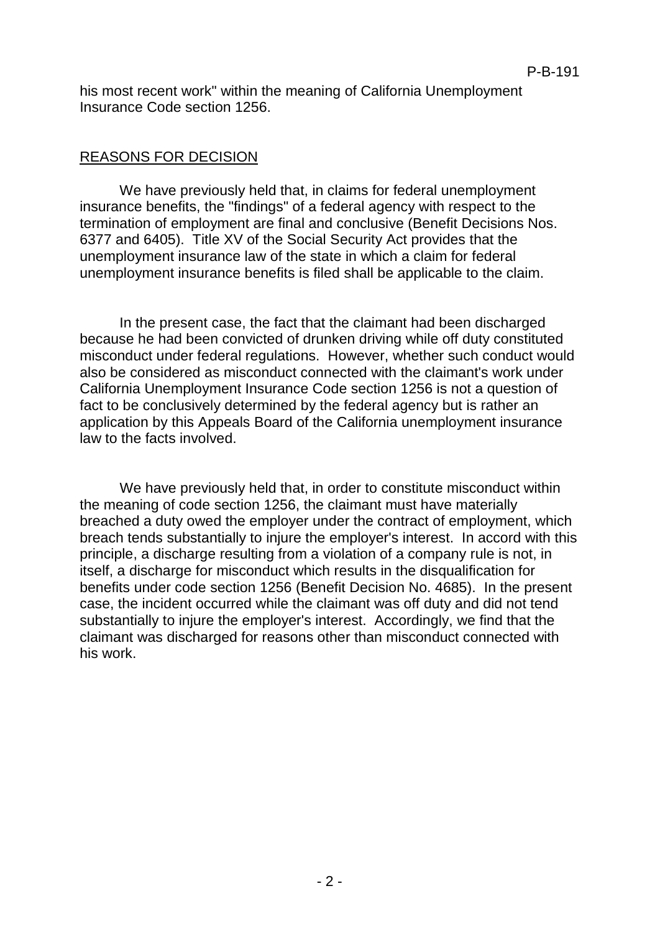his most recent work" within the meaning of California Unemployment Insurance Code section 1256.

## REASONS FOR DECISION

We have previously held that, in claims for federal unemployment insurance benefits, the "findings" of a federal agency with respect to the termination of employment are final and conclusive (Benefit Decisions Nos. 6377 and 6405). Title XV of the Social Security Act provides that the unemployment insurance law of the state in which a claim for federal unemployment insurance benefits is filed shall be applicable to the claim.

In the present case, the fact that the claimant had been discharged because he had been convicted of drunken driving while off duty constituted misconduct under federal regulations. However, whether such conduct would also be considered as misconduct connected with the claimant's work under California Unemployment Insurance Code section 1256 is not a question of fact to be conclusively determined by the federal agency but is rather an application by this Appeals Board of the California unemployment insurance law to the facts involved.

We have previously held that, in order to constitute misconduct within the meaning of code section 1256, the claimant must have materially breached a duty owed the employer under the contract of employment, which breach tends substantially to injure the employer's interest. In accord with this principle, a discharge resulting from a violation of a company rule is not, in itself, a discharge for misconduct which results in the disqualification for benefits under code section 1256 (Benefit Decision No. 4685). In the present case, the incident occurred while the claimant was off duty and did not tend substantially to injure the employer's interest. Accordingly, we find that the claimant was discharged for reasons other than misconduct connected with his work.